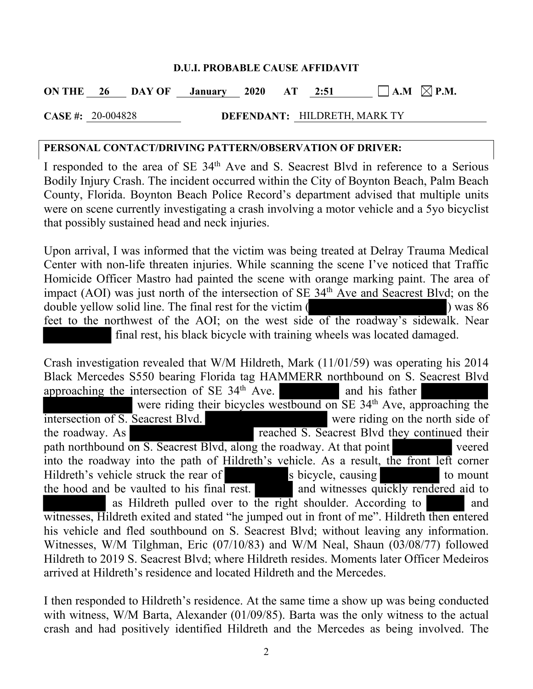## **D.U.I. PROBABLE CAUSE AFFIDAVIT**

**ON THE 26 DAY OF January 2020 AT 2:51**  $\Box$  **A.M**  $\boxtimes$  **P.M.** 

**CASE #:** 20-004828 **DEFENDANT:** HILDRETH, MARK TY

## **PERSONAL CONTACT/DRIVING PATTERN/OBSERVATION OF DRIVER:**

I responded to the area of SE 34<sup>th</sup> Ave and S. Seacrest Blvd in reference to a Serious Bodily Injury Crash. The incident occurred within the City of Boynton Beach, Palm Beach County, Florida. Boynton Beach Police Record's department advised that multiple units were on scene currently investigating a crash involving a motor vehicle and a 5yo bicyclist that possibly sustained head and neck injuries.

Upon arrival, I was informed that the victim was being treated at Delray Trauma Medical Center with non-life threaten injuries. While scanning the scene I've noticed that Traffic Homicide Officer Mastro had painted the scene with orange marking paint. The area of impact (AOI) was just north of the intersection of  $SE$  34<sup>th</sup> Ave and Seacrest Blvd; on the double yellow solid line. The final rest for the victim ( ) was 86 feet to the northwest of the AOI; on the west side of the roadway's sidewalk. Near final rest, his black bicycle with training wheels was located damaged.

Crash investigation revealed that W/M Hildreth, Mark (11/01/59) was operating his 2014 Black Mercedes S550 bearing Florida tag HAMMERR northbound on S. Seacrest Blvd approaching the intersection of  $SE$  34<sup>th</sup> Ave. and his father were riding their bicycles westbound on SE 34<sup>th</sup> Ave, approaching the intersection of S. Seacrest Blvd. were riding on the north side of the roadway. As reached S. Seacrest Blvd they continued their path northbound on S. Seacrest Blvd, along the roadway. At that point veered into the roadway into the path of Hildreth's vehicle. As a result, the front left corner Hildreth's vehicle struck the rear of s bicycle, causing to mount the hood and be vaulted to his final rest. and witnesses quickly rendered aid to as Hildreth pulled over to the right shoulder. According to and witnesses, Hildreth exited and stated "he jumped out in front of me". Hildreth then entered his vehicle and fled southbound on S. Seacrest Blvd; without leaving any information. Witnesses, W/M Tilghman, Eric (07/10/83) and W/M Neal, Shaun (03/08/77) followed Hildreth to 2019 S. Seacrest Blvd; where Hildreth resides. Moments later Officer Medeiros arrived at Hildreth's residence and located Hildreth and the Mercedes.

I then responded to Hildreth's residence. At the same time a show up was being conducted with witness, W/M Barta, Alexander (01/09/85). Barta was the only witness to the actual crash and had positively identified Hildreth and the Mercedes as being involved. The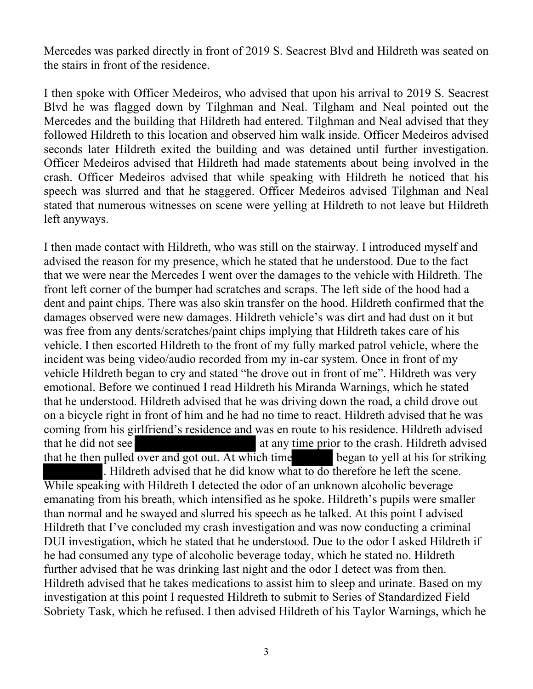Mercedes was parked directly in front of 2019 S. Seacrest Blvd and Hildreth was seated on the stairs in front of the residence.

I then spoke with Officer Medeiros, who advised that upon his arrival to 2019 S. Seacrest Blvd he was flagged down by Tilghman and Neal. Tilgham and Neal pointed out the Mercedes and the building that Hildreth had entered. Tilghman and Neal advised that they followed Hildreth to this location and observed him walk inside. Officer Medeiros advised seconds later Hildreth exited the building and was detained until further investigation. Officer Medeiros advised that Hildreth had made statements about being involved in the crash. Officer Medeiros advised that while speaking with Hildreth he noticed that his speech was slurred and that he staggered. Officer Medeiros advised Tilghman and Neal stated that numerous witnesses on scene were yelling at Hildreth to not leave but Hildreth left anyways.

I then made contact with Hildreth, who was still on the stairway. I introduced myself and advised the reason for my presence, which he stated that he understood. Due to the fact that we were near the Mercedes I went over the damages to the vehicle with Hildreth. The front left corner of the bumper had scratches and scraps. The left side of the hood had a dent and paint chips. There was also skin transfer on the hood. Hildreth confirmed that the damages observed were new damages. Hildreth vehicle's was dirt and had dust on it but was free from any dents/scratches/paint chips implying that Hildreth takes care of his vehicle. I then escorted Hildreth to the front of my fully marked patrol vehicle, where the incident was being video/audio recorded from my in-car system. Once in front of my vehicle Hildreth began to cry and stated "he drove out in front of me". Hildreth was very emotional. Before we continued I read Hildreth his Miranda Warnings, which he stated that he understood. Hildreth advised that he was driving down the road, a child drove out on a bicycle right in front of him and he had no time to react. Hildreth advised that he was coming from his girlfriend's residence and was en route to his residence. Hildreth advised that he did not see **at any time prior** to the crash. Hildreth advised that he then pulled over and got out. At which time began to yell at his for striking . Hildreth advised that he did know what to do therefore he left the scene. While speaking with Hildreth I detected the odor of an unknown alcoholic beverage emanating from his breath, which intensified as he spoke. Hildreth's pupils were smaller

than normal and he swayed and slurred his speech as he talked. At this point I advised Hildreth that I've concluded my crash investigation and was now conducting a criminal DUI investigation, which he stated that he understood. Due to the odor I asked Hildreth if he had consumed any type of alcoholic beverage today, which he stated no. Hildreth further advised that he was drinking last night and the odor I detect was from then. Hildreth advised that he takes medications to assist him to sleep and urinate. Based on my investigation at this point I requested Hildreth to submit to Series of Standardized Field Sobriety Task, which he refused. I then advised Hildreth of his Taylor Warnings, which he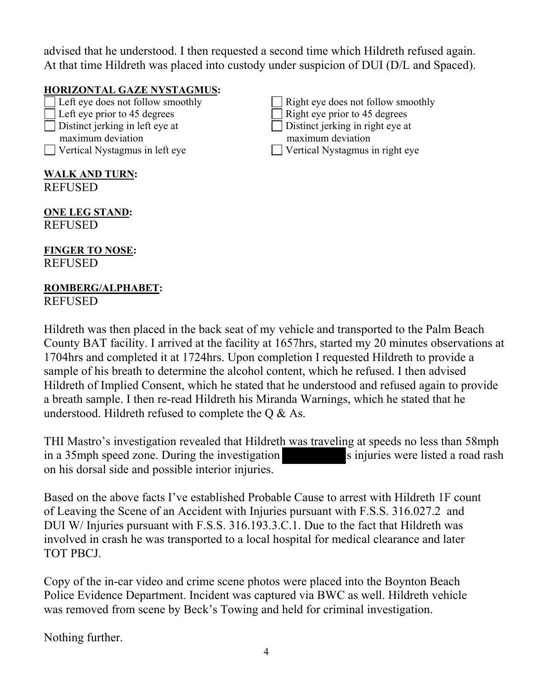advised that he understood. I then requested a second time which Hildreth refused again. At that time Hildreth was placed into custody under suspicion of DUI (D/L and Spaced).

## **HORIZONTAL GAZE NYSTAGMUS:**

Left eye does not follow smoothly  $\Box$  Right eye does not follow smoothly Left eye prior to 45 degrees Right eye prior to 45 degrees  $\Box$  Distinct jerking in left eye at  $\Box$  Distinct jerking in right eye at maximum deviation maximum deviation Vertical Nystagmus in left eye Vertical Nystagmus in right eye

**WALK AND TURN: REFUSED** 

**ONE LEG STAND: REFUSED** 

**FINGER TO NOSE:**  REFUSED

## **ROMBERG/ALPHABET:**  REFUSED

Hildreth was then placed in the back seat of my vehicle and transported to the Palm Beach County BAT facility. I arrived at the facility at 1657hrs, started my 20 minutes observations at 1704hrs and completed it at 1724hrs. Upon completion I requested Hildreth to provide a sample of his breath to determine the alcohol content, which he refused. I then advised Hildreth of Implied Consent, which he stated that he understood and refused again to provide a breath sample. I then re-read Hildreth his Miranda Warnings, which he stated that he understood. Hildreth refused to complete the Q & As.

THI Mastro's investigation revealed that Hildreth was traveling at speeds no less than 58mph in a 35mph speed zone. During the investigation s injuries were listed a road rash on his dorsal side and possible interior injuries.

Based on the above facts I've established Probable Cause to arrest with Hildreth 1F count of Leaving the Scene of an Accident with Injuries pursuant with F.S.S. 316.027.2 and DUI W/ Injuries pursuant with F.S.S. 316.193.3.C.1. Due to the fact that Hildreth was involved in crash he was transported to a local hospital for medical clearance and later TOT PBCJ.

Copy of the in-car video and crime scene photos were placed into the Boynton Beach Police Evidence Department. Incident was captured via BWC as well. Hildreth vehicle was removed from scene by Beck's Towing and held for criminal investigation.

Nothing further.